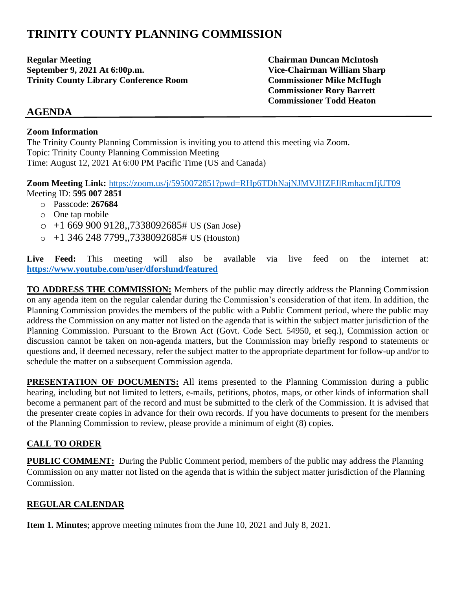# **TRINITY COUNTY PLANNING COMMISSION**

**Regular Meeting Chairman Duncan McIntosh September 9, 2021 At 6:00p.m. Vice-Chairman William Sharp Trinity County Library Conference Room Commissioner Mike McHugh**

**Commissioner Rory Barrett Commissioner Todd Heaton**

# **AGENDA**

#### **Zoom Information**

The Trinity County Planning Commission is inviting you to attend this meeting via Zoom. Topic: Trinity County Planning Commission Meeting Time: August 12, 2021 At 6:00 PM Pacific Time (US and Canada)

**Zoom Meeting Link:** <https://zoom.us/j/5950072851?pwd=RHp6TDhNajNJMVJHZFJlRmhacmJjUT09> Meeting ID: **595 007 2851**

- o Passcode: **267684**
- o One tap mobile
- $\circ$  +1 669 900 9128,,7338092685# US (San Jose)
- $\circ$  +1 346 248 7799,,7338092685# US (Houston)

Live Feed: This meeting will also be available via live feed on the internet at: **<https://www.youtube.com/user/dforslund/featured>**

**TO ADDRESS THE COMMISSION:** Members of the public may directly address the Planning Commission on any agenda item on the regular calendar during the Commission's consideration of that item. In addition, the Planning Commission provides the members of the public with a Public Comment period, where the public may address the Commission on any matter not listed on the agenda that is within the subject matter jurisdiction of the Planning Commission. Pursuant to the Brown Act (Govt. Code Sect. 54950, et seq.), Commission action or discussion cannot be taken on non-agenda matters, but the Commission may briefly respond to statements or questions and, if deemed necessary, refer the subject matter to the appropriate department for follow-up and/or to schedule the matter on a subsequent Commission agenda.

**PRESENTATION OF DOCUMENTS:** All items presented to the Planning Commission during a public hearing, including but not limited to letters, e-mails, petitions, photos, maps, or other kinds of information shall become a permanent part of the record and must be submitted to the clerk of the Commission. It is advised that the presenter create copies in advance for their own records. If you have documents to present for the members of the Planning Commission to review, please provide a minimum of eight (8) copies.

# **CALL TO ORDER**

**PUBLIC COMMENT:** During the Public Comment period, members of the public may address the Planning Commission on any matter not listed on the agenda that is within the subject matter jurisdiction of the Planning Commission.

## **REGULAR CALENDAR**

**Item 1. Minutes**; approve meeting minutes from the June 10, 2021 and July 8, 2021.